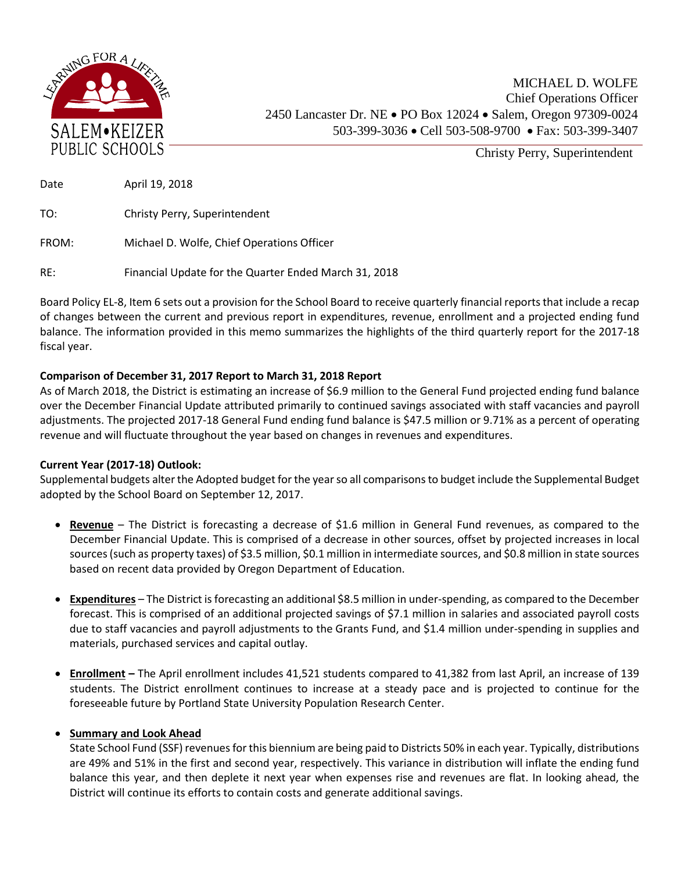

MICHAEL D. WOLFE Chief Operations Officer 2450 Lancaster Dr. NE • PO Box 12024 • Salem, Oregon 97309-0024 503-399-3036 • Cell 503-508-9700 • Fax: 503-399-3407

Christy Perry, Superintendent

| Date  | April 19, 2018                             |
|-------|--------------------------------------------|
| TO:   | Christy Perry, Superintendent              |
| FROM: | Michael D. Wolfe, Chief Operations Officer |

RE: Financial Update for the Quarter Ended March 31, 2018

Board Policy EL-8, Item 6 sets out a provision for the School Board to receive quarterly financial reports that include a recap of changes between the current and previous report in expenditures, revenue, enrollment and a projected ending fund balance. The information provided in this memo summarizes the highlights of the third quarterly report for the 2017-18 fiscal year.

## **Comparison of December 31, 2017 Report to March 31, 2018 Report**

As of March 2018, the District is estimating an increase of \$6.9 million to the General Fund projected ending fund balance over the December Financial Update attributed primarily to continued savings associated with staff vacancies and payroll adjustments. The projected 2017-18 General Fund ending fund balance is \$47.5 million or 9.71% as a percent of operating revenue and will fluctuate throughout the year based on changes in revenues and expenditures.

## **Current Year (2017-18) Outlook:**

Supplemental budgets alter the Adopted budget for the year so all comparisons to budget include the Supplemental Budget adopted by the School Board on September 12, 2017.

- **Revenue** The District is forecasting a decrease of \$1.6 million in General Fund revenues, as compared to the December Financial Update. This is comprised of a decrease in other sources, offset by projected increases in local sources (such as property taxes) of \$3.5 million, \$0.1 million in intermediate sources, and \$0.8 million in state sources based on recent data provided by Oregon Department of Education.
- **Expenditures** The District is forecasting an additional \$8.5 million in under-spending, as compared to the December forecast. This is comprised of an additional projected savings of \$7.1 million in salaries and associated payroll costs due to staff vacancies and payroll adjustments to the Grants Fund, and \$1.4 million under-spending in supplies and materials, purchased services and capital outlay.
- **Enrollment –** The April enrollment includes 41,521 students compared to 41,382 from last April, an increase of 139 students. The District enrollment continues to increase at a steady pace and is projected to continue for the foreseeable future by Portland State University Population Research Center.

## • **Summary and Look Ahead**

State School Fund (SSF) revenues for this biennium are being paid to Districts 50% in each year. Typically, distributions are 49% and 51% in the first and second year, respectively. This variance in distribution will inflate the ending fund balance this year, and then deplete it next year when expenses rise and revenues are flat. In looking ahead, the District will continue its efforts to contain costs and generate additional savings.